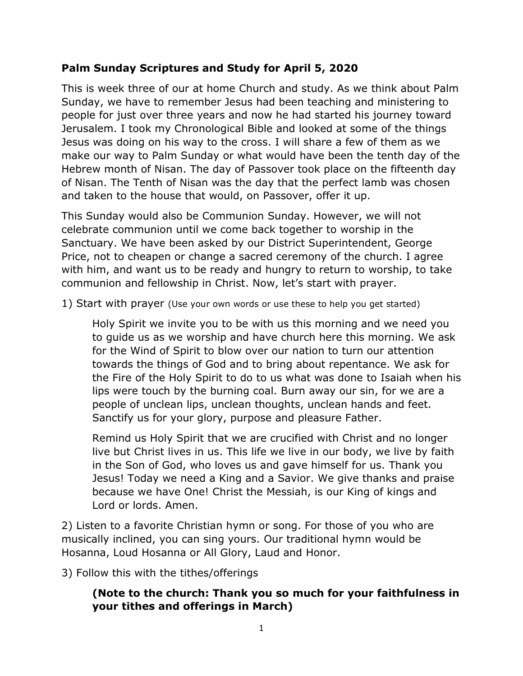### **Palm Sunday Scriptures and Study for April 5, 2020**

This is week three of our at home Church and study. As we think about Palm Sunday, we have to remember Jesus had been teaching and ministering to people for just over three years and now he had started his journey toward Jerusalem. I took my Chronological Bible and looked at some of the things Jesus was doing on his way to the cross. I will share a few of them as we make our way to Palm Sunday or what would have been the tenth day of the Hebrew month of Nisan. The day of Passover took place on the fifteenth day of Nisan. The Tenth of Nisan was the day that the perfect lamb was chosen and taken to the house that would, on Passover, offer it up.

This Sunday would also be Communion Sunday. However, we will not celebrate communion until we come back together to worship in the Sanctuary. We have been asked by our District Superintendent, George Price, not to cheapen or change a sacred ceremony of the church. I agree with him, and want us to be ready and hungry to return to worship, to take communion and fellowship in Christ. Now, let's start with prayer.

1) Start with prayer (Use your own words or use these to help you get started)

Holy Spirit we invite you to be with us this morning and we need you to guide us as we worship and have church here this morning. We ask for the Wind of Spirit to blow over our nation to turn our attention towards the things of God and to bring about repentance. We ask for the Fire of the Holy Spirit to do to us what was done to Isaiah when his lips were touch by the burning coal. Burn away our sin, for we are a people of unclean lips, unclean thoughts, unclean hands and feet. Sanctify us for your glory, purpose and pleasure Father.

Remind us Holy Spirit that we are crucified with Christ and no longer live but Christ lives in us. This life we live in our body, we live by faith in the Son of God, who loves us and gave himself for us. Thank you Jesus! Today we need a King and a Savior. We give thanks and praise because we have One! Christ the Messiah, is our King of kings and Lord or lords. Amen.

2) Listen to a favorite Christian hymn or song. For those of you who are musically inclined, you can sing yours. Our traditional hymn would be Hosanna, Loud Hosanna or All Glory, Laud and Honor.

3) Follow this with the tithes/offerings

#### **(Note to the church: Thank you so much for your faithfulness in your tithes and offerings in March)**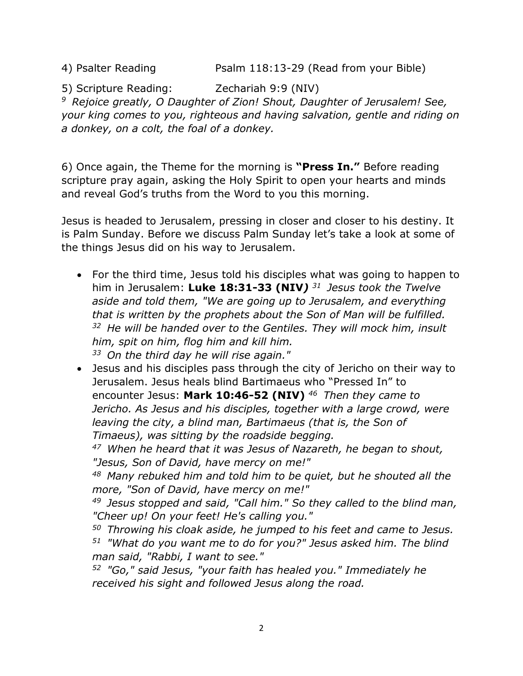4) Psalter Reading **Psalm 118:13-29 (Read from your Bible)** 

5) Scripture Reading: Zechariah 9:9 (NIV) *<sup>9</sup>Rejoice greatly, O Daughter of Zion! Shout, Daughter of Jerusalem! See, your king comes to you, righteous and having salvation, gentle and riding on a donkey, on a colt, the foal of a donkey.* 

6) Once again, the Theme for the morning is **"Press In."** Before reading scripture pray again, asking the Holy Spirit to open your hearts and minds and reveal God's truths from the Word to you this morning.

Jesus is headed to Jerusalem, pressing in closer and closer to his destiny. It is Palm Sunday. Before we discuss Palm Sunday let's take a look at some of the things Jesus did on his way to Jerusalem.

• For the third time, Jesus told his disciples what was going to happen to him in Jerusalem: **Luke 18:31-33 (NIV***) <sup>31</sup>Jesus took the Twelve aside and told them, "We are going up to Jerusalem, and everything that is written by the prophets about the Son of Man will be fulfilled. <sup>32</sup>He will be handed over to the Gentiles. They will mock him, insult him, spit on him, flog him and kill him. <sup>33</sup>On the third day he will rise again."* 

• Jesus and his disciples pass through the city of Jericho on their way to Jerusalem. Jesus heals blind Bartimaeus who "Pressed In" to encounter Jesus: **Mark 10:46-52 (NIV)** *<sup>46</sup>Then they came to Jericho. As Jesus and his disciples, together with a large crowd, were leaving the city, a blind man, Bartimaeus (that is, the Son of Timaeus), was sitting by the roadside begging.* 

*<sup>47</sup>When he heard that it was Jesus of Nazareth, he began to shout, "Jesus, Son of David, have mercy on me!"* 

*<sup>48</sup>Many rebuked him and told him to be quiet, but he shouted all the more, "Son of David, have mercy on me!"* 

*<sup>49</sup>Jesus stopped and said, "Call him." So they called to the blind man, "Cheer up! On your feet! He's calling you."* 

*<sup>50</sup>Throwing his cloak aside, he jumped to his feet and came to Jesus. <sup>51</sup>"What do you want me to do for you?" Jesus asked him. The blind man said, "Rabbi, I want to see."* 

*<sup>52</sup>"Go," said Jesus, "your faith has healed you." Immediately he received his sight and followed Jesus along the road.*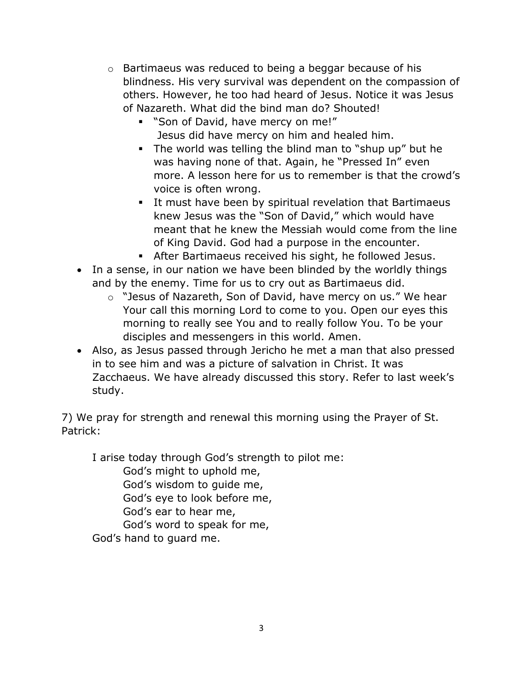- o Bartimaeus was reduced to being a beggar because of his blindness. His very survival was dependent on the compassion of others. However, he too had heard of Jesus. Notice it was Jesus of Nazareth. What did the bind man do? Shouted!
	- "Son of David, have mercy on me!" Jesus did have mercy on him and healed him.
	- The world was telling the blind man to "shup up" but he was having none of that. Again, he "Pressed In" even more. A lesson here for us to remember is that the crowd's voice is often wrong.
	- It must have been by spiritual revelation that Bartimaeus knew Jesus was the "Son of David," which would have meant that he knew the Messiah would come from the line of King David. God had a purpose in the encounter.
	- After Bartimaeus received his sight, he followed Jesus.
- In a sense, in our nation we have been blinded by the worldly things and by the enemy. Time for us to cry out as Bartimaeus did.
	- o "Jesus of Nazareth, Son of David, have mercy on us." We hear Your call this morning Lord to come to you. Open our eyes this morning to really see You and to really follow You. To be your disciples and messengers in this world. Amen.
- Also, as Jesus passed through Jericho he met a man that also pressed in to see him and was a picture of salvation in Christ. It was Zacchaeus. We have already discussed this story. Refer to last week's study.

7) We pray for strength and renewal this morning using the Prayer of St. Patrick:

I arise today through God's strength to pilot me:

God's might to uphold me,

God's wisdom to guide me,

God's eye to look before me,

God's ear to hear me,

God's word to speak for me,

God's hand to guard me.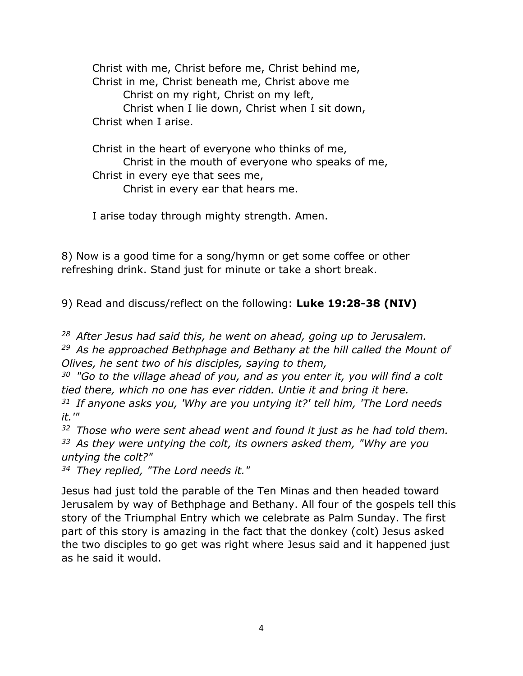Christ with me, Christ before me, Christ behind me, Christ in me, Christ beneath me, Christ above me Christ on my right, Christ on my left, Christ when I lie down, Christ when I sit down, Christ when I arise.

Christ in the heart of everyone who thinks of me, Christ in the mouth of everyone who speaks of me, Christ in every eye that sees me, Christ in every ear that hears me.

I arise today through mighty strength. Amen.

8) Now is a good time for a song/hymn or get some coffee or other refreshing drink. Stand just for minute or take a short break.

9) Read and discuss/reflect on the following: **Luke 19:28-38 (NIV)**

*<sup>28</sup>After Jesus had said this, he went on ahead, going up to Jerusalem. <sup>29</sup>As he approached Bethphage and Bethany at the hill called the Mount of Olives, he sent two of his disciples, saying to them,* 

*<sup>30</sup>"Go to the village ahead of you, and as you enter it, you will find a colt tied there, which no one has ever ridden. Untie it and bring it here.* 

*<sup>31</sup>If anyone asks you, 'Why are you untying it?' tell him, 'The Lord needs it.'"* 

*<sup>32</sup>Those who were sent ahead went and found it just as he had told them. <sup>33</sup>As they were untying the colt, its owners asked them, "Why are you untying the colt?"* 

*<sup>34</sup>They replied, "The Lord needs it."* 

Jesus had just told the parable of the Ten Minas and then headed toward Jerusalem by way of Bethphage and Bethany. All four of the gospels tell this story of the Triumphal Entry which we celebrate as Palm Sunday. The first part of this story is amazing in the fact that the donkey (colt) Jesus asked the two disciples to go get was right where Jesus said and it happened just as he said it would.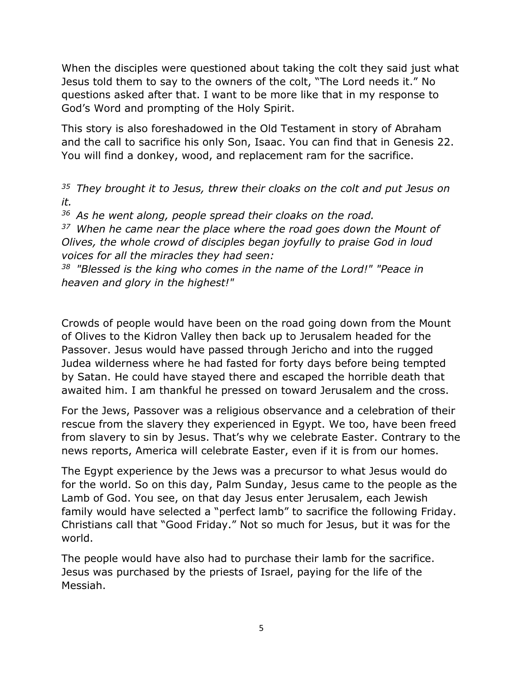When the disciples were questioned about taking the colt they said just what Jesus told them to say to the owners of the colt, "The Lord needs it." No questions asked after that. I want to be more like that in my response to God's Word and prompting of the Holy Spirit.

This story is also foreshadowed in the Old Testament in story of Abraham and the call to sacrifice his only Son, Isaac. You can find that in Genesis 22. You will find a donkey, wood, and replacement ram for the sacrifice.

*<sup>35</sup>They brought it to Jesus, threw their cloaks on the colt and put Jesus on it.* 

*<sup>36</sup>As he went along, people spread their cloaks on the road.* 

*<sup>37</sup>When he came near the place where the road goes down the Mount of Olives, the whole crowd of disciples began joyfully to praise God in loud voices for all the miracles they had seen:* 

*<sup>38</sup>"Blessed is the king who comes in the name of the Lord!" "Peace in heaven and glory in the highest!"*

Crowds of people would have been on the road going down from the Mount of Olives to the Kidron Valley then back up to Jerusalem headed for the Passover. Jesus would have passed through Jericho and into the rugged Judea wilderness where he had fasted for forty days before being tempted by Satan. He could have stayed there and escaped the horrible death that awaited him. I am thankful he pressed on toward Jerusalem and the cross.

For the Jews, Passover was a religious observance and a celebration of their rescue from the slavery they experienced in Egypt. We too, have been freed from slavery to sin by Jesus. That's why we celebrate Easter. Contrary to the news reports, America will celebrate Easter, even if it is from our homes.

The Egypt experience by the Jews was a precursor to what Jesus would do for the world. So on this day, Palm Sunday, Jesus came to the people as the Lamb of God. You see, on that day Jesus enter Jerusalem, each Jewish family would have selected a "perfect lamb" to sacrifice the following Friday. Christians call that "Good Friday." Not so much for Jesus, but it was for the world.

The people would have also had to purchase their lamb for the sacrifice. Jesus was purchased by the priests of Israel, paying for the life of the Messiah.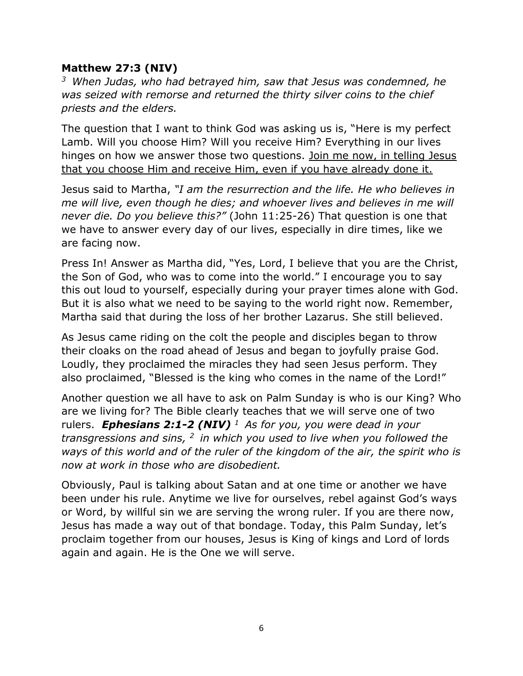#### **Matthew 27:3 (NIV)**

*<sup>3</sup>When Judas, who had betrayed him, saw that Jesus was condemned, he was seized with remorse and returned the thirty silver coins to the chief priests and the elders.*

The question that I want to think God was asking us is, "Here is my perfect Lamb. Will you choose Him? Will you receive Him? Everything in our lives hinges on how we answer those two questions. Join me now, in telling Jesus that you choose Him and receive Him, even if you have already done it.

Jesus said to Martha, *"I am the resurrection and the life. He who believes in me will live, even though he dies; and whoever lives and believes in me will never die. Do you believe this?"* (John 11:25-26) That question is one that we have to answer every day of our lives, especially in dire times, like we are facing now.

Press In! Answer as Martha did, "Yes, Lord, I believe that you are the Christ, the Son of God, who was to come into the world." I encourage you to say this out loud to yourself, especially during your prayer times alone with God. But it is also what we need to be saying to the world right now. Remember, Martha said that during the loss of her brother Lazarus. She still believed.

As Jesus came riding on the colt the people and disciples began to throw their cloaks on the road ahead of Jesus and began to joyfully praise God. Loudly, they proclaimed the miracles they had seen Jesus perform. They also proclaimed, "Blessed is the king who comes in the name of the Lord!"

Another question we all have to ask on Palm Sunday is who is our King? Who are we living for? The Bible clearly teaches that we will serve one of two rulers. *Ephesians 2:1-2 (NIV) <sup>1</sup>As for you, you were dead in your transgressions and sins, <sup>2</sup>in which you used to live when you followed the ways of this world and of the ruler of the kingdom of the air, the spirit who is now at work in those who are disobedient.* 

Obviously, Paul is talking about Satan and at one time or another we have been under his rule. Anytime we live for ourselves, rebel against God's ways or Word, by willful sin we are serving the wrong ruler. If you are there now, Jesus has made a way out of that bondage. Today, this Palm Sunday, let's proclaim together from our houses, Jesus is King of kings and Lord of lords again and again. He is the One we will serve.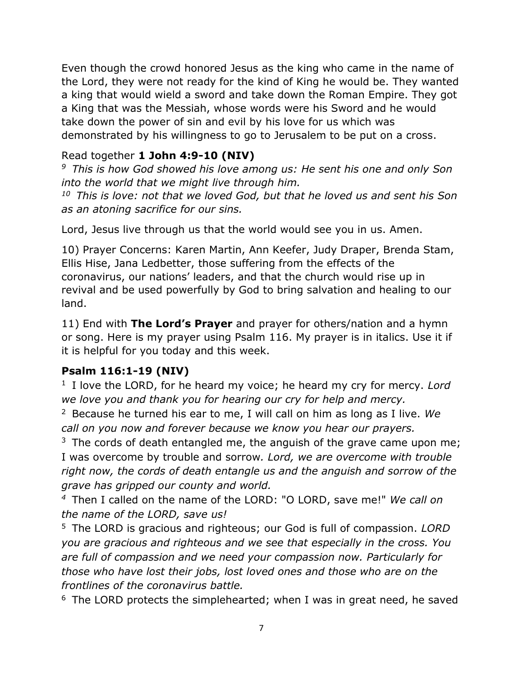Even though the crowd honored Jesus as the king who came in the name of the Lord, they were not ready for the kind of King he would be. They wanted a king that would wield a sword and take down the Roman Empire. They got a King that was the Messiah, whose words were his Sword and he would take down the power of sin and evil by his love for us which was demonstrated by his willingness to go to Jerusalem to be put on a cross.

## Read together **1 John 4:9-10 (NIV)**

*<sup>9</sup>This is how God showed his love among us: He sent his one and only Son into the world that we might live through him.* 

*<sup>10</sup>This is love: not that we loved God, but that he loved us and sent his Son as an atoning sacrifice for our sins.*

Lord, Jesus live through us that the world would see you in us. Amen.

10) Prayer Concerns: Karen Martin, Ann Keefer, Judy Draper, Brenda Stam, Ellis Hise, Jana Ledbetter, those suffering from the effects of the coronavirus, our nations' leaders, and that the church would rise up in revival and be used powerfully by God to bring salvation and healing to our land.

11) End with **The Lord's Prayer** and prayer for others/nation and a hymn or song. Here is my prayer using Psalm 116. My prayer is in italics. Use it if it is helpful for you today and this week.

## **Psalm 116:1-19 (NIV)**

<sup>1</sup> I love the LORD, for he heard my voice; he heard my cry for mercy. Lord *we love you and thank you for hearing our cry for help and mercy.*

<sup>2</sup>Because he turned his ear to me, I will call on him as long as I live. *We call on you now and forever because we know you hear our prayers.*

 $3$  The cords of death entangled me, the anguish of the grave came upon me; I was overcome by trouble and sorrow*. Lord, we are overcome with trouble right now, the cords of death entangle us and the anguish and sorrow of the grave has gripped our county and world.*

*<sup>4</sup>*Then I called on the name of the LORD: "O LORD, save me!" *We call on the name of the LORD, save us!*

<sup>5</sup>The LORD is gracious and righteous; our God is full of compassion. *LORD you are gracious and righteous and we see that especially in the cross. You are full of compassion and we need your compassion now. Particularly for those who have lost their jobs, lost loved ones and those who are on the frontlines of the coronavirus battle.*

 $6$  The LORD protects the simplehearted; when I was in great need, he saved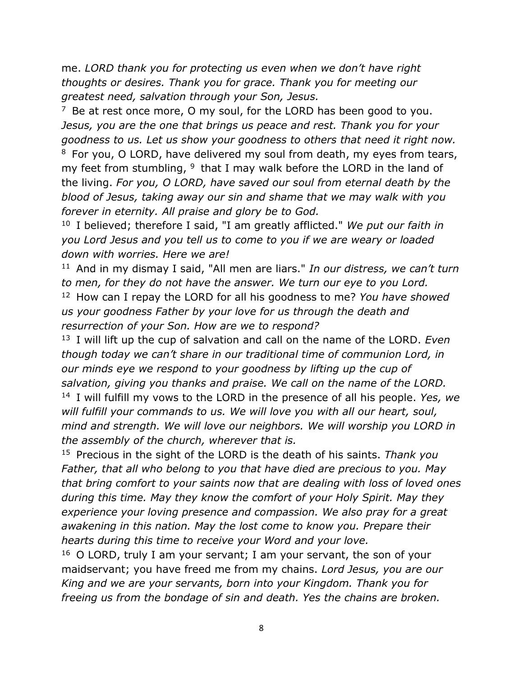me. *LORD thank you for protecting us even when we don't have right thoughts or desires. Thank you for grace. Thank you for meeting our greatest need, salvation through your Son, Jesus.*

 $7$  Be at rest once more, O my soul, for the LORD has been good to you. *Jesus, you are the one that brings us peace and rest. Thank you for your goodness to us. Let us show your goodness to others that need it right now.*

 $8$  For you, O LORD, have delivered my soul from death, my eyes from tears, my feet from stumbling,  $9$  that I may walk before the LORD in the land of the living. *For you, O LORD, have saved our soul from eternal death by the blood of Jesus, taking away our sin and shame that we may walk with you forever in eternity. All praise and glory be to God.*

<sup>10</sup> I believed; therefore I said, "I am greatly afflicted." *We put our faith in you Lord Jesus and you tell us to come to you if we are weary or loaded down with worries. Here we are!*

<sup>11</sup> And in my dismay I said, "All men are liars." *In our distress, we can't turn to men, for they do not have the answer. We turn our eye to you Lord.* <sup>12</sup> How can I repay the LORD for all his goodness to me? *You have showed us your goodness Father by your love for us through the death and resurrection of your Son. How are we to respond?* 

<sup>13</sup>I will lift up the cup of salvation and call on the name of the LORD. *Even though today we can't share in our traditional time of communion Lord, in our minds eye we respond to your goodness by lifting up the cup of salvation, giving you thanks and praise. We call on the name of the LORD.* <sup>14</sup> I will fulfill my vows to the LORD in the presence of all his people. *Yes, we will fulfill your commands to us. We will love you with all our heart, soul, mind and strength. We will love our neighbors. We will worship you LORD in the assembly of the church, wherever that is.*

<sup>15</sup> Precious in the sight of the LORD is the death of his saints. *Thank you Father, that all who belong to you that have died are precious to you. May that bring comfort to your saints now that are dealing with loss of loved ones during this time. May they know the comfort of your Holy Spirit. May they experience your loving presence and compassion. We also pray for a great awakening in this nation. May the lost come to know you. Prepare their hearts during this time to receive your Word and your love.*

 $16$  O LORD, truly I am your servant; I am your servant, the son of your maidservant; you have freed me from my chains. *Lord Jesus, you are our King and we are your servants, born into your Kingdom. Thank you for freeing us from the bondage of sin and death. Yes the chains are broken.*